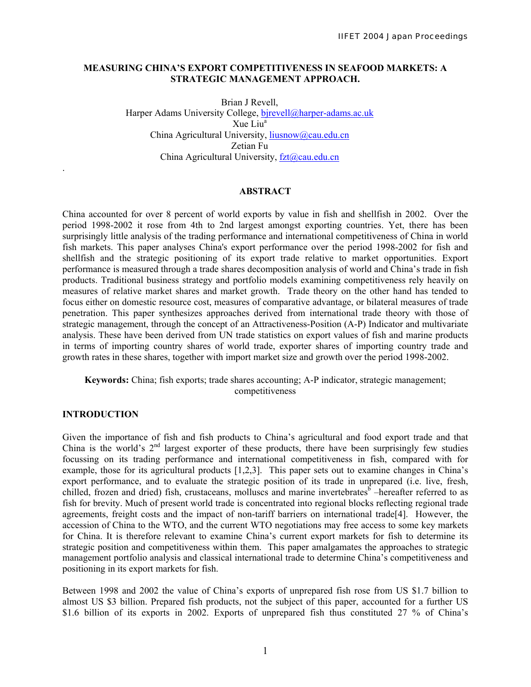## **MEASURING CHINA'S EXPORT COMPETITIVENESS IN SEAFOOD MARKETS: A STRATEGIC MANAGEMENT APPROACH.**

Brian J Revell, Harper Adams University College, birevell@harper-adams.ac.uk Xue Liu<sup>a</sup> China Agricultural University, liusnow@cau.edu.cn Zetian Fu China Agricultural University, fzt@cau.edu.cn

## **ABSTRACT**

China accounted for over 8 percent of world exports by value in fish and shellfish in 2002. Over the period 1998-2002 it rose from 4th to 2nd largest amongst exporting countries. Yet, there has been surprisingly little analysis of the trading performance and international competitiveness of China in world fish markets. This paper analyses China's export performance over the period 1998-2002 for fish and shellfish and the strategic positioning of its export trade relative to market opportunities. Export performance is measured through a trade shares decomposition analysis of world and China's trade in fish products. Traditional business strategy and portfolio models examining competitiveness rely heavily on measures of relative market shares and market growth. Trade theory on the other hand has tended to focus either on domestic resource cost, measures of comparative advantage, or bilateral measures of trade penetration. This paper synthesizes approaches derived from international trade theory with those of strategic management, through the concept of an Attractiveness-Position (A-P) Indicator and multivariate analysis. These have been derived from UN trade statistics on export values of fish and marine products in terms of importing country shares of world trade, exporter shares of importing country trade and growth rates in these shares, together with import market size and growth over the period 1998-2002.

**Keywords:** China; fish exports; trade shares accounting; A-P indicator, strategic management; competitiveness

### **INTRODUCTION**

.

Given the importance of fish and fish products to China's agricultural and food export trade and that China is the world's  $2<sup>nd</sup>$  largest exporter of these products, there have been surprisingly few studies focussing on its trading performance and international competitiveness in fish, compared with for example, those for its agricultural products [1,2,3]. This paper sets out to examine changes in China's export performance, and to evaluate the strategic position of its trade in unprepared (i.e. live, fresh, chilled, frozen and dried) fish, crustaceans, molluscs and marine invertebrates<sup>6</sup> –hereafter referred to as fish for brevity. Much of present world trade is concentrated into regional blocks reflecting regional trade agreements, freight costs and the impact of non-tariff barriers on international trade[4]. However, the accession of China to the WTO, and the current WTO negotiations may free access to some key markets for China. It is therefore relevant to examine China's current export markets for fish to determine its strategic position and competitiveness within them. This paper amalgamates the approaches to strategic management portfolio analysis and classical international trade to determine China's competitiveness and positioning in its export markets for fish.

Between 1998 and 2002 the value of China's exports of unprepared fish rose from US \$1.7 billion to almost US \$3 billion. Prepared fish products, not the subject of this paper, accounted for a further US \$1.6 billion of its exports in 2002. Exports of unprepared fish thus constituted 27 % of China's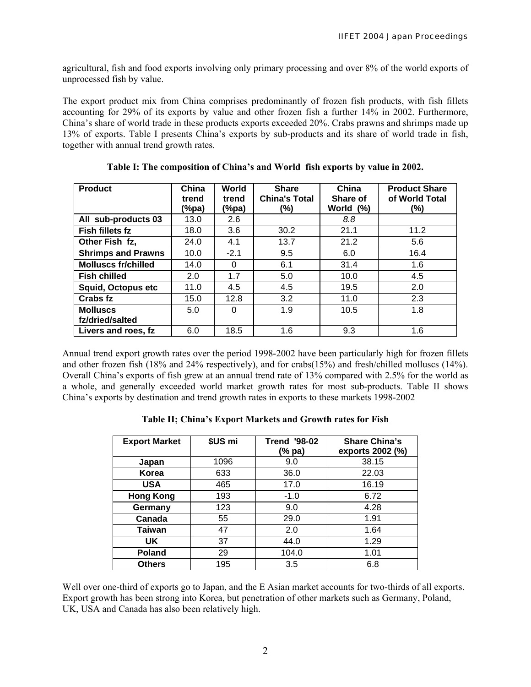agricultural, fish and food exports involving only primary processing and over 8% of the world exports of unprocessed fish by value.

The export product mix from China comprises predominantly of frozen fish products, with fish fillets accounting for 29% of its exports by value and other frozen fish a further 14% in 2002. Furthermore, China's share of world trade in these products exports exceeded 20%. Crabs prawns and shrimps made up 13% of exports. Table I presents China's exports by sub-products and its share of world trade in fish, together with annual trend growth rates.

| <b>Product</b>                     | China<br>trend<br>(%pa) | World<br>trend<br>(%pa) | <b>Share</b><br><b>China's Total</b><br>(%) | China<br>Share of<br>World (%) | <b>Product Share</b><br>of World Total<br>(%) |
|------------------------------------|-------------------------|-------------------------|---------------------------------------------|--------------------------------|-----------------------------------------------|
| All sub-products 03                | 13.0                    | 2.6                     |                                             | 8.8                            |                                               |
| Fish fillets fz                    | 18.0                    | 3.6                     | 30.2                                        | 21.1                           | 11.2                                          |
| Other Fish fz.                     | 24.0                    | 4.1                     | 13.7                                        | 21.2                           | 5.6                                           |
| <b>Shrimps and Prawns</b>          | 10.0                    | $-2.1$                  | 9.5                                         | 6.0                            | 16.4                                          |
| <b>Molluscs fr/chilled</b>         | 14.0                    | 0                       | 6.1                                         | 31.4                           | 1.6                                           |
| <b>Fish chilled</b>                | 2.0                     | 1.7                     | 5.0                                         | 10.0                           | 4.5                                           |
| <b>Squid, Octopus etc</b>          | 11.0                    | 4.5                     | 4.5                                         | 19.5                           | 2.0                                           |
| Crabs fz                           | 15.0                    | 12.8                    | 3.2                                         | 11.0                           | 2.3                                           |
| <b>Molluscs</b><br>fz/dried/salted | 5.0                     | 0                       | 1.9                                         | 10.5                           | 1.8                                           |
| Livers and roes, fz                | 6.0                     | 18.5                    | 1.6                                         | 9.3                            | 1.6                                           |

**Table I: The composition of China's and World fish exports by value in 2002.** 

Annual trend export growth rates over the period 1998-2002 have been particularly high for frozen fillets and other frozen fish (18% and 24% respectively), and for crabs(15%) and fresh/chilled molluscs (14%). Overall China's exports of fish grew at an annual trend rate of 13% compared with 2.5% for the world as a whole, and generally exceeded world market growth rates for most sub-products. Table II shows China's exports by destination and trend growth rates in exports to these markets 1998-2002

| <b>Export Market</b> | \$US mi | <b>Trend '98-02</b><br>(% pa) | <b>Share China's</b><br>exports 2002 (%) |  |  |
|----------------------|---------|-------------------------------|------------------------------------------|--|--|
| Japan                | 1096    | 9.0                           | 38.15                                    |  |  |
| Korea                | 633     | 36.0                          | 22.03                                    |  |  |
| <b>USA</b>           | 465     | 17.0                          | 16.19                                    |  |  |
| <b>Hong Kong</b>     | 193     | $-1.0$                        | 6.72                                     |  |  |
| Germany              | 123     | 9.0                           | 4.28                                     |  |  |
| Canada               | 55      | 29.0                          | 1.91                                     |  |  |
| <b>Taiwan</b>        | 47      | 2.0                           | 1.64                                     |  |  |
| UK                   | 37      | 44.0                          | 1.29                                     |  |  |
| <b>Poland</b>        | 29      | 104.0                         | 1.01                                     |  |  |
| <b>Others</b>        | 195     | 3.5                           | 6.8                                      |  |  |

**Table II; China's Export Markets and Growth rates for Fish** 

Well over one-third of exports go to Japan, and the E Asian market accounts for two-thirds of all exports. Export growth has been strong into Korea, but penetration of other markets such as Germany, Poland, UK, USA and Canada has also been relatively high.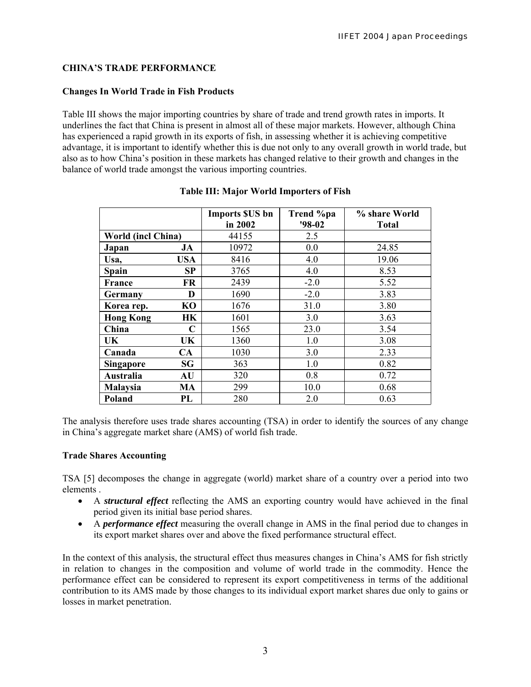# **CHINA'S TRADE PERFORMANCE**

# **Changes In World Trade in Fish Products**

Table III shows the major importing countries by share of trade and trend growth rates in imports. It underlines the fact that China is present in almost all of these major markets. However, although China has experienced a rapid growth in its exports of fish, in assessing whether it is achieving competitive advantage, it is important to identify whether this is due not only to any overall growth in world trade, but also as to how China's position in these markets has changed relative to their growth and changes in the balance of world trade amongst the various importing countries.

|                    |           | <b>Imports \$US bn</b> | Trend %pa | % share World |
|--------------------|-----------|------------------------|-----------|---------------|
|                    |           | in 2002                | $'98-02$  | <b>Total</b>  |
| World (incl China) |           | 44155                  | 2.5       |               |
| Japan              | JA        | 10972                  | 0.0       | 24.85         |
| Usa,               | USA       | 8416                   | 4.0       | 19.06         |
| <b>Spain</b>       | SP        | 3765                   | 4.0       | 8.53          |
| France             | <b>FR</b> | 2439                   | $-2.0$    | 5.52          |
| Germany            | D         | 1690                   | $-2.0$    | 3.83          |
| Korea rep.         | <b>KO</b> | 1676                   | 31.0      | 3.80          |
| <b>Hong Kong</b>   | HК        | 1601                   | 3.0       | 3.63          |
| China              | C         | 1565                   | 23.0      | 3.54          |
| UK                 | UK        | 1360                   | 1.0       | 3.08          |
| Canada             | CA        | 1030                   | 3.0       | 2.33          |
| <b>Singapore</b>   | SG        | 363                    | 1.0       | 0.82          |
| Australia          | AU        | 320                    | 0.8       | 0.72          |
| <b>Malaysia</b>    | MA        | 299                    | 10.0      | 0.68          |
| Poland             | PL        | 280                    | 2.0       | 0.63          |

# **Table III: Major World Importers of Fish**

The analysis therefore uses trade shares accounting (TSA) in order to identify the sources of any change in China's aggregate market share (AMS) of world fish trade.

# **Trade Shares Accounting**

TSA [5] decomposes the change in aggregate (world) market share of a country over a period into two elements .

- A *structural effect* reflecting the AMS an exporting country would have achieved in the final period given its initial base period shares.
- A *performance effect* measuring the overall change in AMS in the final period due to changes in its export market shares over and above the fixed performance structural effect.

In the context of this analysis, the structural effect thus measures changes in China's AMS for fish strictly in relation to changes in the composition and volume of world trade in the commodity. Hence the performance effect can be considered to represent its export competitiveness in terms of the additional contribution to its AMS made by those changes to its individual export market shares due only to gains or losses in market penetration.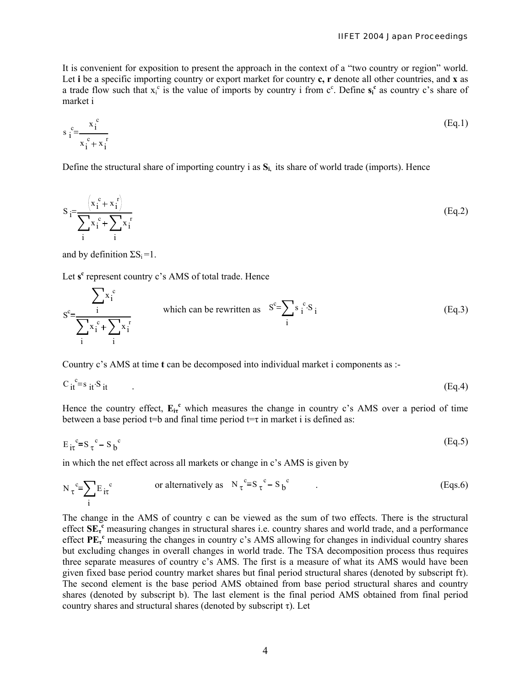It is convenient for exposition to present the approach in the context of a "two country or region" world. Let **i** be a specific importing country or export market for country **c, r** denote all other countries, and **x** as a trade flow such that  $x_i^c$  is the value of imports by country i from  $c^c$ . Define  $s_i^c$  as country c's share of market i

$$
s_i^c = \frac{x_i^c}{x_i^c + x_i^r}
$$
 (Eq.1)

Define the structural share of importing country i as **Si,** its share of world trade (imports). Hence

$$
S_i = \frac{\left(x_i^c + x_i^r\right)}{\sum_i x_i^c + \sum_i x_i^r}
$$
\n(Eq.2)

and by definition  $\Sigma S_i = 1$ .

Let s<sup>c</sup> represent country c's AMS of total trade. Hence

$$
S^{c} = \frac{\sum_{i} x_{i}^{c}}{\sum_{i} x_{i}^{c} + \sum_{i} x_{i}^{r}}
$$
 which can be rewritten as 
$$
S^{c} = \sum_{i} s_{i}^{c} S_{i}
$$
 (Eq.3)

Country c's AMS at time **t** can be decomposed into individual market i components as :-

$$
C_{it}^{\ c} = s_{it} S_{it} \tag{Eq.4}
$$

Hence the country effect,  $E_{ir}^c$  which measures the change in country c's AMS over a period of time between a base period t=b and final time period t=τ in market i is defined as:

$$
E_{i\tau}^{\ c} = S_{\ \tau}^{\ c} - S_{\ b}^{\ c} \tag{Eq.5}
$$

in which the net effect across all markets or change in c's AMS is given by

$$
N_{\tau}^{\ c} = \sum_{i} E_{i\tau}^{\ c} \qquad \text{or alternatively as} \quad N_{\tau}^{\ c} = S_{\tau}^{\ c} - S_{b}^{\ c} \qquad (Eqs.6)
$$

The change in the AMS of country c can be viewed as the sum of two effects. There is the structural effect SE<sub>τ</sub><sup>c</sup></sub> measuring changes in structural shares i.e. country shares and world trade, and a performance effect **PE<sup>τ</sup> <sup>c</sup>** measuring the changes in country c's AMS allowing for changes in individual country shares but excluding changes in overall changes in world trade. The TSA decomposition process thus requires three separate measures of country c's AMS. The first is a measure of what its AMS would have been given fixed base period country market shares but final period structural shares (denoted by subscript fτ). The second element is the base period AMS obtained from base period structural shares and country shares (denoted by subscript b). The last element is the final period AMS obtained from final period country shares and structural shares (denoted by subscript  $\tau$ ). Let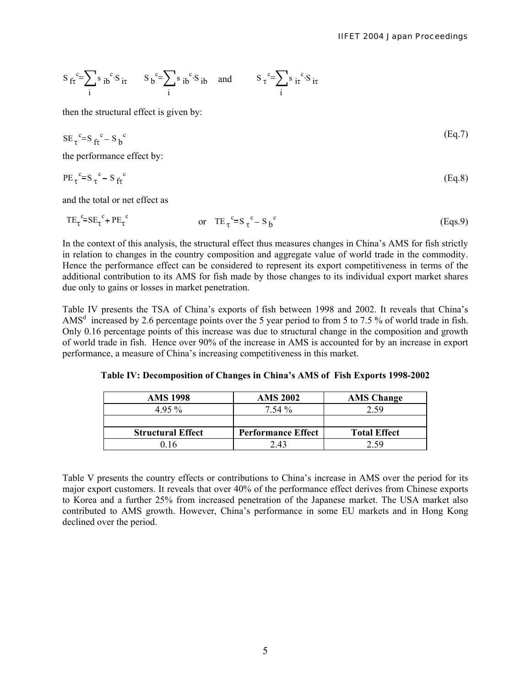$$
S_{f\tau}^c = \sum_i s_{ib}^c \cdot S_{i\tau} \qquad S_b^c = \sum_i s_{ib}^c \cdot S_{ib} \quad \text{and} \qquad S_{\tau}^c = \sum_i s_{i\tau}^c \cdot S_{i\tau}
$$

then the structural effect is given by:

$$
SE_{\tau}^c = S_{\text{fr}}^c - S_b^c \tag{Eq.7}
$$

the performance effect by:

$$
PE_{\tau}^{\ c} = S_{\tau}^{\ c} - S_{f\tau}^{\ c} \tag{Eq.8}
$$

and the total or net effect as

$$
TE_{\tau}^{\ c} = SE_{\tau}^{\ c} + PE_{\tau}^{\ c} \qquad \qquad \text{or} \quad TE_{\ \tau}^{\ c} = S_{\ \tau}^{\ c} - S_{\ b}^{\ c} \qquad \qquad (Eqs.9)
$$

In the context of this analysis, the structural effect thus measures changes in China's AMS for fish strictly in relation to changes in the country composition and aggregate value of world trade in the commodity. Hence the performance effect can be considered to represent its export competitiveness in terms of the additional contribution to its AMS for fish made by those changes to its individual export market shares due only to gains or losses in market penetration.

Table IV presents the TSA of China's exports of fish between 1998 and 2002. It reveals that China's AMS<sup>d</sup> increased by 2.6 percentage points over the 5 year period to from 5 to 7.5 % of world trade in fish. Only 0.16 percentage points of this increase was due to structural change in the composition and growth of world trade in fish. Hence over 90% of the increase in AMS is accounted for by an increase in export performance, a measure of China's increasing competitiveness in this market.

**Table IV: Decomposition of Changes in China's AMS of Fish Exports 1998-2002** 

| <b>AMS 1998</b>          | <b>AMS 2002</b>           | <b>AMS</b> Change   |
|--------------------------|---------------------------|---------------------|
| 495 %                    | $7.54\%$                  | 2.59                |
|                          |                           |                     |
| <b>Structural Effect</b> | <b>Performance Effect</b> | <b>Total Effect</b> |
| በ 16                     | 243                       |                     |

Table V presents the country effects or contributions to China's increase in AMS over the period for its major export customers. It reveals that over 40% of the performance effect derives from Chinese exports to Korea and a further 25% from increased penetration of the Japanese market. The USA market also contributed to AMS growth. However, China's performance in some EU markets and in Hong Kong declined over the period.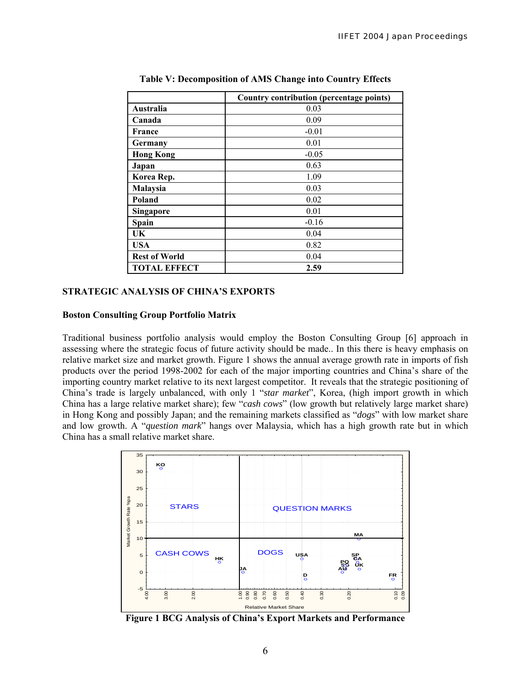|                      | Country contribution (percentage points) |
|----------------------|------------------------------------------|
| Australia            | 0.03                                     |
| Canada               | 0.09                                     |
| <b>France</b>        | $-0.01$                                  |
| Germany              | 0.01                                     |
| <b>Hong Kong</b>     | $-0.05$                                  |
| Japan                | 0.63                                     |
| Korea Rep.           | 1.09                                     |
| Malaysia             | 0.03                                     |
| Poland               | 0.02                                     |
| <b>Singapore</b>     | 0.01                                     |
| Spain                | $-0.16$                                  |
| UK                   | 0.04                                     |
| <b>USA</b>           | 0.82                                     |
| <b>Rest of World</b> | 0.04                                     |
| <b>TOTAL EFFECT</b>  | 2.59                                     |

**Table V: Decomposition of AMS Change into Country Effects** 

#### **STRATEGIC ANALYSIS OF CHINA'S EXPORTS**

## **Boston Consulting Group Portfolio Matrix**

Traditional business portfolio analysis would employ the Boston Consulting Group [6] approach in assessing where the strategic focus of future activity should be made.. In this there is heavy emphasis on relative market size and market growth. Figure 1 shows the annual average growth rate in imports of fish products over the period 1998-2002 for each of the major importing countries and China's share of the importing country market relative to its next largest competitor. It reveals that the strategic positioning of China's trade is largely unbalanced, with only 1 "*star market*", Korea, (high import growth in which China has a large relative market share); few "*cash cows*" (low growth but relatively large market share) in Hong Kong and possibly Japan; and the remaining markets classified as "*dogs*" with low market share and low growth. A "*question mark*" hangs over Malaysia, which has a high growth rate but in which China has a small relative market share.



**Figure 1 BCG Analysis of China's Export Markets and Performance**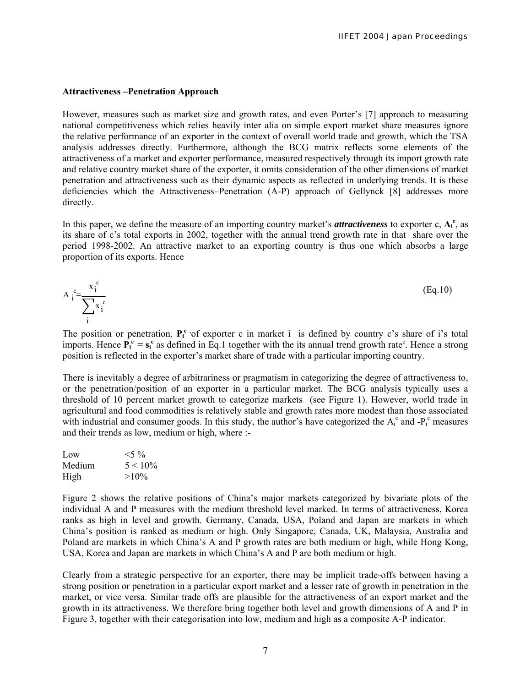#### **Attractiveness –Penetration Approach**

However, measures such as market size and growth rates, and even Porter's [7] approach to measuring national competitiveness which relies heavily inter alia on simple export market share measures ignore the relative performance of an exporter in the context of overall world trade and growth, which the TSA analysis addresses directly. Furthermore, although the BCG matrix reflects some elements of the attractiveness of a market and exporter performance, measured respectively through its import growth rate and relative country market share of the exporter, it omits consideration of the other dimensions of market penetration and attractiveness such as their dynamic aspects as reflected in underlying trends. It is these deficiencies which the Attractiveness–Penetration (A-P) approach of Gellynck [8] addresses more directly.

In this paper, we define the measure of an importing country market's *attractiveness* to exporter c,  $A_i^c$ , as its share of c's total exports in 2002, together with the annual trend growth rate in that share over the period 1998-2002. An attractive market to an exporting country is thus one which absorbs a large proportion of its exports. Hence

$$
A_i^c = \frac{x_i^c}{\sum_i^b x_i^c}
$$
 (Eq.10)

The position or penetration,  $P_i^c$  of exporter c in market i is defined by country c's share of i's total imports. Hence  $\mathbf{P_i^c} = \mathbf{s_i^c}$  as defined in Eq.1 together with the its annual trend growth rate<sup>e</sup>. Hence a strong position is reflected in the exporter's market share of trade with a particular importing country.

There is inevitably a degree of arbitrariness or pragmatism in categorizing the degree of attractiveness to, or the penetration/position of an exporter in a particular market. The BCG analysis typically uses a threshold of 10 percent market growth to categorize markets (see Figure 1). However, world trade in agricultural and food commodities is relatively stable and growth rates more modest than those associated with industrial and consumer goods. In this study, the author's have categorized the  $A_i^c$  and  $-P_i^c$  measures and their trends as low, medium or high, where :-

| Low    | $<$ 5 %    |
|--------|------------|
| Medium | $5 < 10\%$ |
| High   | $>10\%$    |

Figure 2 shows the relative positions of China's major markets categorized by bivariate plots of the individual A and P measures with the medium threshold level marked. In terms of attractiveness, Korea ranks as high in level and growth. Germany, Canada, USA, Poland and Japan are markets in which China's position is ranked as medium or high. Only Singapore, Canada, UK, Malaysia, Australia and Poland are markets in which China's A and P growth rates are both medium or high, while Hong Kong, USA, Korea and Japan are markets in which China's A and P are both medium or high.

Clearly from a strategic perspective for an exporter, there may be implicit trade-offs between having a strong position or penetration in a particular export market and a lesser rate of growth in penetration in the market, or vice versa. Similar trade offs are plausible for the attractiveness of an export market and the growth in its attractiveness. We therefore bring together both level and growth dimensions of A and P in Figure 3, together with their categorisation into low, medium and high as a composite A-P indicator.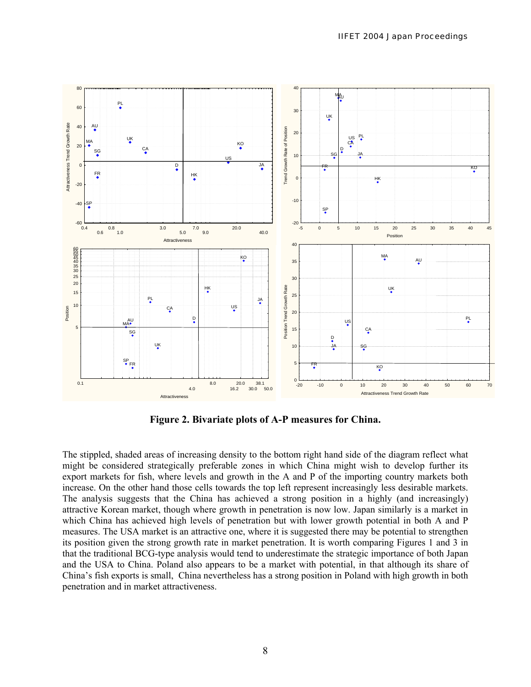

**Figure 2. Bivariate plots of A-P measures for China.** 

The stippled, shaded areas of increasing density to the bottom right hand side of the diagram reflect what might be considered strategically preferable zones in which China might wish to develop further its export markets for fish, where levels and growth in the A and P of the importing country markets both increase. On the other hand those cells towards the top left represent increasingly less desirable markets. The analysis suggests that the China has achieved a strong position in a highly (and increasingly) attractive Korean market, though where growth in penetration is now low. Japan similarly is a market in which China has achieved high levels of penetration but with lower growth potential in both A and P measures. The USA market is an attractive one, where it is suggested there may be potential to strengthen its position given the strong growth rate in market penetration. It is worth comparing Figures 1 and 3 in that the traditional BCG-type analysis would tend to underestimate the strategic importance of both Japan and the USA to China. Poland also appears to be a market with potential, in that although its share of China's fish exports is small, China nevertheless has a strong position in Poland with high growth in both penetration and in market attractiveness.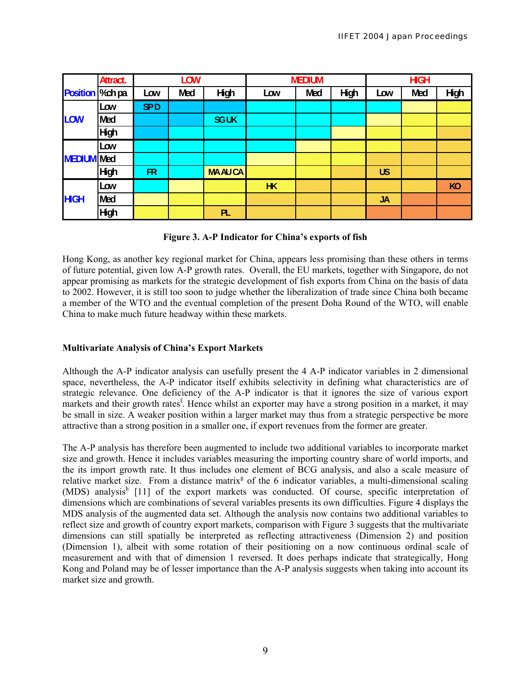|                   | Attract.    | <b>LOW</b> |            |               | <b>MEDIUM</b>  |            |             | <b>HGH</b> |            |      |
|-------------------|-------------|------------|------------|---------------|----------------|------------|-------------|------------|------------|------|
| Position   %ch pa |             | Low        | <b>Med</b> | <b>High</b>   | Low            | <b>Med</b> | <b>High</b> | Low        | <b>Med</b> | High |
|                   | Low         | <b>SPD</b> |            |               |                |            |             |            |            |      |
| <b>LOW</b>        | <b>Med</b>  |            |            | <b>SGUK</b>   |                |            |             |            |            |      |
|                   | High        |            |            |               |                |            |             |            |            |      |
|                   | Low         |            |            |               |                |            |             |            |            |      |
| <b>MEDIUM</b> Med |             |            |            |               |                |            |             |            |            |      |
|                   | <b>High</b> | FR         |            | <b>MAAUCA</b> |                |            |             | <b>US</b>  |            |      |
|                   | Low         |            |            |               | H <sub>K</sub> |            |             |            |            | KO   |
| <b>HGH</b>        | <b>Med</b>  |            |            |               |                |            |             | <b>JA</b>  |            |      |
|                   | High        |            |            | PL.           |                |            |             |            |            |      |

**Figure 3. A-P Indicator for China's exports of fish** 

Hong Kong, as another key regional market for China, appears less promising than these others in terms of future potential, given low A-P growth rates. Overall, the EU markets, together with Singapore, do not appear promising as markets for the strategic development of fish exports from China on the basis of data to 2002. However, it is still too soon to judge whether the liberalization of trade since China both became a member of the WTO and the eventual completion of the present Doha Round of the WTO, will enable China to make much future headway within these markets.

# **Multivariate Analysis of China's Export Markets**

Although the A-P indicator analysis can usefully present the 4 A-P indicator variables in 2 dimensional space, nevertheless, the A-P indicator itself exhibits selectivity in defining what characteristics are of strategic relevance. One deficiency of the A-P indicator is that it ignores the size of various export markets and their growth rates<sup>f</sup>. Hence whilst an exporter may have a strong position in a market, it may be small in size. A weaker position within a larger market may thus from a strategic perspective be more attractive than a strong position in a smaller one, if export revenues from the former are greater.

The A-P analysis has therefore been augmented to include two additional variables to incorporate market size and growth. Hence it includes variables measuring the importing country share of world imports, and the its import growth rate. It thus includes one element of BCG analysis, and also a scale measure of relative market size. From a distance matrix<sup>g</sup> of the 6 indicator variables, a multi-dimensional scaling (MDS) analysis<sup>h</sup> [11] of the export markets was conducted. Of course, specific interpretation of dimensions which are combinations of several variables presents its own difficulties. Figure 4 displays the MDS analysis of the augmented data set. Although the analysis now contains two additional variables to reflect size and growth of country export markets, comparison with Figure 3 suggests that the multivariate dimensions can still spatially be interpreted as reflecting attractiveness (Dimension 2) and position (Dimension 1), albeit with some rotation of their positioning on a now continuous ordinal scale of measurement and with that of dimension 1 reversed. It does perhaps indicate that strategically, Hong Kong and Poland may be of lesser importance than the A-P analysis suggests when taking into account its market size and growth.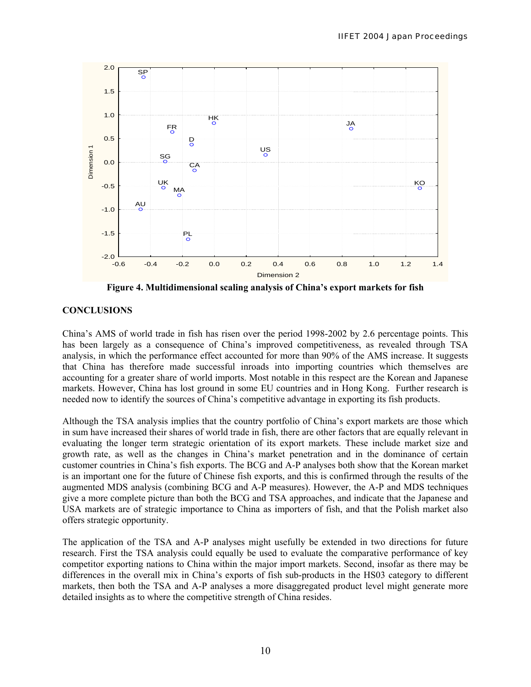

**Figure 4. Multidimensional scaling analysis of China's export markets for fish** 

# **CONCLUSIONS**

China's AMS of world trade in fish has risen over the period 1998-2002 by 2.6 percentage points. This has been largely as a consequence of China's improved competitiveness, as revealed through TSA analysis, in which the performance effect accounted for more than 90% of the AMS increase. It suggests that China has therefore made successful inroads into importing countries which themselves are accounting for a greater share of world imports. Most notable in this respect are the Korean and Japanese markets. However, China has lost ground in some EU countries and in Hong Kong. Further research is needed now to identify the sources of China's competitive advantage in exporting its fish products.

Although the TSA analysis implies that the country portfolio of China's export markets are those which in sum have increased their shares of world trade in fish, there are other factors that are equally relevant in evaluating the longer term strategic orientation of its export markets. These include market size and growth rate, as well as the changes in China's market penetration and in the dominance of certain customer countries in China's fish exports. The BCG and A-P analyses both show that the Korean market is an important one for the future of Chinese fish exports, and this is confirmed through the results of the augmented MDS analysis (combining BCG and A-P measures). However, the A-P and MDS techniques give a more complete picture than both the BCG and TSA approaches, and indicate that the Japanese and USA markets are of strategic importance to China as importers of fish, and that the Polish market also offers strategic opportunity.

The application of the TSA and A-P analyses might usefully be extended in two directions for future research. First the TSA analysis could equally be used to evaluate the comparative performance of key competitor exporting nations to China within the major import markets. Second, insofar as there may be differences in the overall mix in China's exports of fish sub-products in the HS03 category to different markets, then both the TSA and A-P analyses a more disaggregated product level might generate more detailed insights as to where the competitive strength of China resides.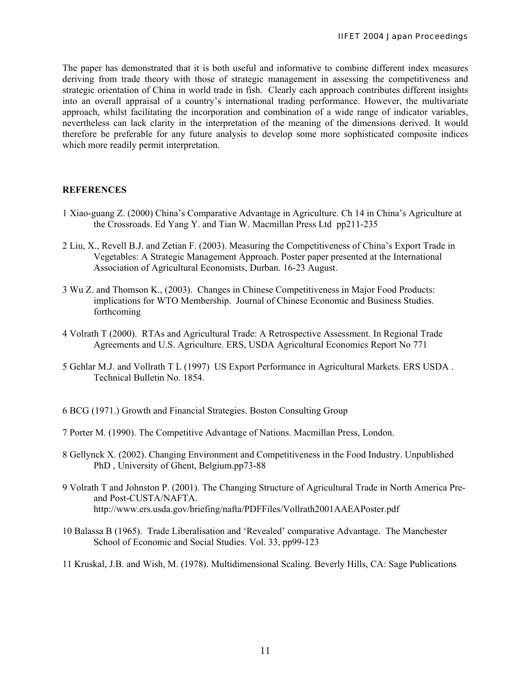The paper has demonstrated that it is both useful and informative to combine different index measures deriving from trade theory with those of strategic management in assessing the competitiveness and strategic orientation of China in world trade in fish. Clearly each approach contributes different insights into an overall appraisal of a country's international trading performance. However, the multivariate approach, whilst facilitating the incorporation and combination of a wide range of indicator variables, nevertheless can lack clarity in the interpretation of the meaning of the dimensions derived. It would therefore be preferable for any future analysis to develop some more sophisticated composite indices which more readily permit interpretation.

#### **REFERENCES**

- 1 Xiao-guang Z. (2000) China's Comparative Advantage in Agriculture. Ch 14 in China's Agriculture at the Crossroads. Ed Yang Y. and Tian W. Macmillan Press Ltd pp211-235
- 2 Liu, X., Revell B.J. and Zetian F. (2003). Measuring the Competitiveness of China's Export Trade in Vegetables: A Strategic Management Approach. Poster paper presented at the International Association of Agricultural Economists, Durban. 16-23 August.
- 3 Wu Z. and Thomson K., (2003). Changes in Chinese Competitiveness in Major Food Products: implications for WTO Membership. Journal of Chinese Economic and Business Studies. forthcoming
- 4 Volrath T (2000). RTAs and Agricultural Trade: A Retrospective Assessment. In Regional Trade Agreements and U.S. Agriculture. ERS, USDA Agricultural Economics Report No 771
- 5 Gehlar M.J. and Vollrath T L (1997) US Export Performance in Agricultural Markets. ERS USDA . Technical Bulletin No. 1854.
- 6 BCG (1971.) Growth and Financial Strategies. Boston Consulting Group
- 7 Porter M. (1990). The Competitive Advantage of Nations. Macmillan Press, London.
- 8 Gellynck X. (2002). Changing Environment and Competitiveness in the Food Industry. Unpublished PhD , University of Ghent, Belgium.pp73-88
- 9 Volrath T and Johnston P. (2001). The Changing Structure of Agricultural Trade in North America Preand Post-CUSTA/NAFTA. http://www.ers.usda.gov/briefing/nafta/PDFFiles/Vollrath2001AAEAPoster.pdf
- 10 Balassa B (1965). Trade Liberalisation and 'Revealed' comparative Advantage. The Manchester School of Economic and Social Studies. Vol. 33, pp99-123
- 11 Kruskal, J.B. and Wish, M. (1978). Multidimensional Scaling. Beverly Hills, CA: Sage Publications